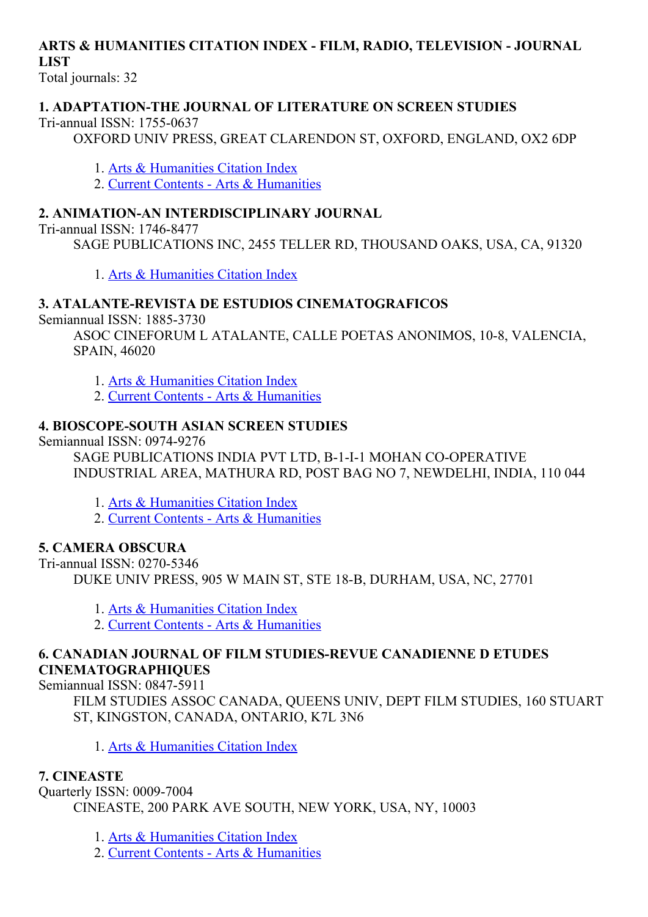# ARTS & HUMANITIES CITATION INDEX FILM, RADIO, TELEVISION JOURNAL LIST

Total journals: 32

#### 1. ADAPTATION-THE JOURNAL OF LITERATURE ON SCREEN STUDIES

Tri-annual ISSN: 1755-0637

OXFORD UNIV PRESS, GREAT CLARENDON ST, OXFORD, ENGLAND, OX2 6DP

1. Arts & [Humanities](http://thomsonreuters.com/arts-humanities-citation-index) Citation Index

2. Current Contents - Arts & [Humanities](http://thomsonreuters.com/current-contents-connect)

### 2. ANIMATION-AN INTERDISCIPLINARY JOURNAL

Tri-annual ISSN: 1746-8477

SAGE PUBLICATIONS INC, 2455 TELLER RD, THOUSAND OAKS, USA, CA, 91320

1. Arts & [Humanities](http://thomsonreuters.com/arts-humanities-citation-index) Citation Index

### 3. ATALANTE-REVISTA DE ESTUDIOS CINEMATOGRAFICOS

Semiannual ISSN: 1885-3730

ASOC CINEFORUM L ATALANTE, CALLE POETAS ANONIMOS, 10-8, VALENCIA, SPAIN, 46020

- 1. Arts & [Humanities](http://thomsonreuters.com/arts-humanities-citation-index) Citation Index
- 2. Current Contents Arts & [Humanities](http://thomsonreuters.com/current-contents-connect)

### **4. BIOSCOPE-SOUTH ASIAN SCREEN STUDIES**

Semiannual ISSN: 0974-9276

SAGE PUBLICATIONS INDIA PVT LTD, B-1-I-1 MOHAN CO-OPERATIVE INDUSTRIAL AREA, MATHURA RD, POST BAG NO 7, NEWDELHI, INDIA, 110 044

- 1. Arts & [Humanities](http://thomsonreuters.com/arts-humanities-citation-index) Citation Index
- 2. Current Contents Arts & [Humanities](http://thomsonreuters.com/current-contents-connect)

### 5. CAMERA OBSCURA

Tri-annual ISSN: 0270-5346 DUKE UNIV PRESS, 905 W MAIN ST, STE 18-B, DURHAM, USA, NC, 27701

- 1. Arts & [Humanities](http://thomsonreuters.com/arts-humanities-citation-index) Citation Index
- 2. Current Contents Arts & [Humanities](http://thomsonreuters.com/current-contents-connect)

### 6. CANADIAN JOURNAL OF FILM STUDIES-REVUE CANADIENNE D ETUDES CINEMATOGRAPHIQUES

Semiannual ISSN: 0847-5911

FILM STUDIES ASSOC CANADA, QUEENS UNIV, DEPT FILM STUDIES, 160 STUART ST, KINGSTON, CANADA, ONTARIO, K7L 3N6

1. Arts & [Humanities](http://thomsonreuters.com/arts-humanities-citation-index) Citation Index

### 7. CINEASTE

Ouarterly ISSN: 0009-7004 CINEASTE, 200 PARK AVE SOUTH, NEW YORK, USA, NY, 10003

1. Arts & [Humanities](http://thomsonreuters.com/arts-humanities-citation-index) Citation Index

2. Current Contents - Arts & [Humanities](http://thomsonreuters.com/current-contents-connect)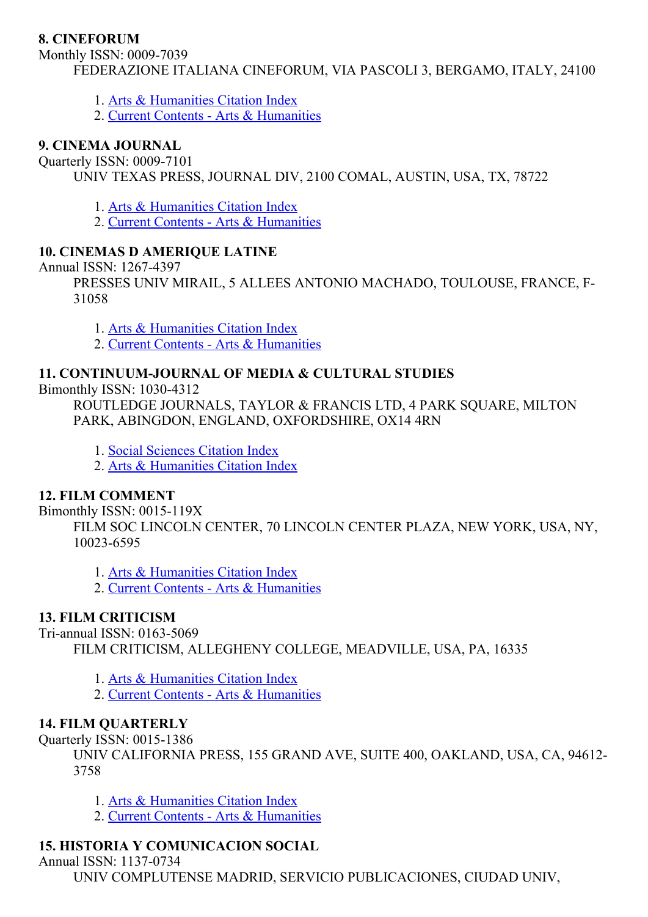#### 8. CINEFORUM

Monthly ISSN: 0009-7039 FEDERAZIONE ITALIANA CINEFORUM, VIA PASCOLI 3, BERGAMO, ITALY, 24100

- 1. Arts & [Humanities](http://thomsonreuters.com/arts-humanities-citation-index) Citation Index
- 2. Current Contents Arts & [Humanities](http://thomsonreuters.com/current-contents-connect)

#### 9. CINEMA JOURNAL

Quarterly ISSN: 0009-7101

UNIV TEXAS PRESS, JOURNAL DIV, 2100 COMAL, AUSTIN, USA, TX, 78722

1. Arts & [Humanities](http://thomsonreuters.com/arts-humanities-citation-index) Citation Index

2. Current Contents - Arts & [Humanities](http://thomsonreuters.com/current-contents-connect)

### 10. CINEMAS D AMERIQUE LATINE

Annual ISSN: 1267-4397

PRESSES UNIV MIRAIL, 5 ALLEES ANTONIO MACHADO, TOULOUSE, FRANCE, F-31058

1. Arts & [Humanities](http://thomsonreuters.com/arts-humanities-citation-index) Citation Index

2. Current Contents - Arts & [Humanities](http://thomsonreuters.com/current-contents-connect)

### 11. CONTINUUM-JOURNAL OF MEDIA & CULTURAL STUDIES

Bimonthly ISSN: 10304312

ROUTLEDGE JOURNALS, TAYLOR & FRANCIS LTD, 4 PARK SQUARE, MILTON PARK, ABINGDON, ENGLAND, OXFORDSHIRE, OX14 4RN

1. Social [Sciences](http://thomsonreuters.com/social-sciences-citation-index) Citation Index

2. Arts & [Humanities](http://thomsonreuters.com/arts-humanities-citation-index) Citation Index

### 12. FILM COMMENT

Bimonthly ISSN: 0015-119X

FILM SOC LINCOLN CENTER, 70 LINCOLN CENTER PLAZA, NEW YORK, USA, NY, 10023-6595

1. Arts & [Humanities](http://thomsonreuters.com/arts-humanities-citation-index) Citation Index

2. Current Contents - Arts & [Humanities](http://thomsonreuters.com/current-contents-connect)

### 13. FILM CRITICISM

Tri-annual ISSN: 0163-5069

FILM CRITICISM, ALLEGHENY COLLEGE, MEADVILLE, USA, PA, 16335

1. Arts & [Humanities](http://thomsonreuters.com/arts-humanities-citation-index) Citation Index

2. Current Contents - Arts & [Humanities](http://thomsonreuters.com/current-contents-connect)

### 14. FILM QUARTERLY

Quarterly ISSN: 0015-1386

UNIV CALIFORNIA PRESS, 155 GRAND AVE, SUITE 400, OAKLAND, USA, CA, 94612 3758

- 1. Arts & [Humanities](http://thomsonreuters.com/arts-humanities-citation-index) Citation Index
- 2. Current Contents Arts & [Humanities](http://thomsonreuters.com/current-contents-connect)

## 15. HISTORIA Y COMUNICACION SOCIAL

Annual ISSN: 1137-0734 UNIV COMPLUTENSE MADRID, SERVICIO PUBLICACIONES, CIUDAD UNIV,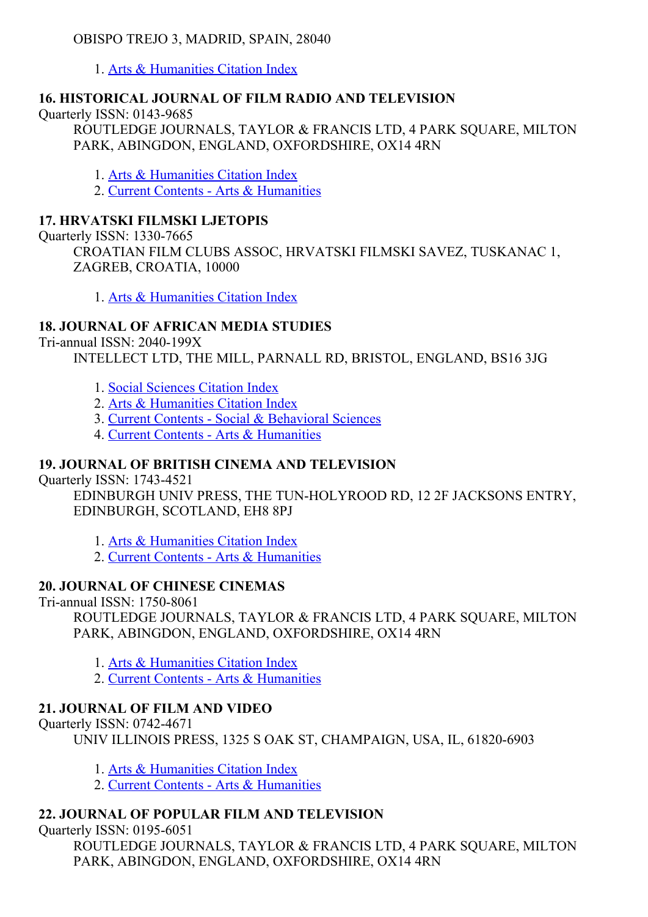### OBISPO TREJO 3, MADRID, SPAIN, 28040

1. Arts & [Humanities](http://thomsonreuters.com/arts-humanities-citation-index) Citation Index

### 16. HISTORICAL JOURNAL OF FILM RADIO AND TELEVISION

Ouarterly ISSN: 0143-9685 ROUTLEDGE JOURNALS, TAYLOR & FRANCIS LTD, 4 PARK SQUARE, MILTON PARK, ABINGDON, ENGLAND, OXFORDSHIRE, OX14 4RN

1. Arts & [Humanities](http://thomsonreuters.com/arts-humanities-citation-index) Citation Index

2. Current Contents - Arts & [Humanities](http://thomsonreuters.com/current-contents-connect)

# 17. HRVATSKI FILMSKI LJETOPIS

**Ouarterly ISSN: 1330-7665** 

CROATIAN FILM CLUBS ASSOC, HRVATSKI FILMSKI SAVEZ, TUSKANAC 1, ZAGREB, CROATIA, 10000

1. Arts & [Humanities](http://thomsonreuters.com/arts-humanities-citation-index) Citation Index

# 18. JOURNAL OF AFRICAN MEDIA STUDIES

Tri-annual ISSN:  $2040-199X$ 

INTELLECT LTD, THE MILL, PARNALL RD, BRISTOL, ENGLAND, BS16 3JG

- 1. Social [Sciences](http://thomsonreuters.com/social-sciences-citation-index) Citation Index
- 2. Arts & [Humanities](http://thomsonreuters.com/arts-humanities-citation-index) Citation Index
- 3. Current Contents Social & [Behavioral](http://thomsonreuters.com/current-contents-connect/) Sciences
- 4. Current Contents Arts & [Humanities](http://thomsonreuters.com/current-contents-connect)

## 19. JOURNAL OF BRITISH CINEMA AND TELEVISION

Quarterly ISSN: 17434521

EDINBURGH UNIV PRESS, THE TUN-HOLYROOD RD, 12 2F JACKSONS ENTRY, EDINBURGH, SCOTLAND, EH8 8PJ

- 1. Arts & [Humanities](http://thomsonreuters.com/arts-humanities-citation-index) Citation Index
- 2. Current Contents Arts & [Humanities](http://thomsonreuters.com/current-contents-connect)

## 20. JOURNAL OF CHINESE CINEMAS

Tri-annual ISSN: 1750-8061

ROUTLEDGE JOURNALS, TAYLOR & FRANCIS LTD, 4 PARK SQUARE, MILTON PARK, ABINGDON, ENGLAND, OXFORDSHIRE, OX14 4RN

- 1. Arts & [Humanities](http://thomsonreuters.com/arts-humanities-citation-index) Citation Index
- 2. Current Contents Arts & [Humanities](http://thomsonreuters.com/current-contents-connect)

# 21. JOURNAL OF FILM AND VIDEO

## Quarterly ISSN: 07424671

UNIV ILLINOIS PRESS, 1325 S OAK ST, CHAMPAIGN, USA, IL, 61820-6903

- 1. Arts & [Humanities](http://thomsonreuters.com/arts-humanities-citation-index) Citation Index
- 2. Current Contents Arts & [Humanities](http://thomsonreuters.com/current-contents-connect)

## 22. JOURNAL OF POPULAR FILM AND TELEVISION

Ouarterly ISSN: 0195-6051 ROUTLEDGE JOURNALS, TAYLOR & FRANCIS LTD, 4 PARK SOUARE, MILTON PARK, ABINGDON, ENGLAND, OXFORDSHIRE, OX14 4RN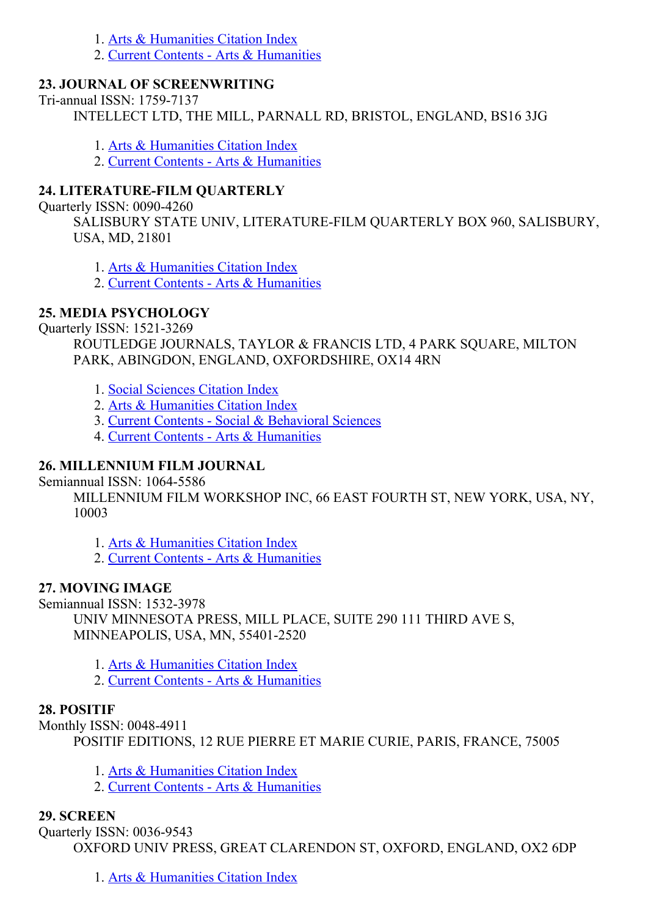1. Arts & [Humanities](http://thomsonreuters.com/arts-humanities-citation-index) Citation Index

2. Current Contents - Arts & [Humanities](http://thomsonreuters.com/current-contents-connect)

### 23. JOURNAL OF SCREENWRITING

Tri-annual ISSN: 1759-7137

INTELLECT LTD, THE MILL, PARNALL RD, BRISTOL, ENGLAND, BS16 3JG

1. Arts & [Humanities](http://thomsonreuters.com/arts-humanities-citation-index) Citation Index

2. Current Contents - Arts & [Humanities](http://thomsonreuters.com/current-contents-connect)

### 24. LITERATURE-FILM OUARTERLY

Quarterly ISSN: 0090-4260

SALISBURY STATE UNIV, LITERATURE-FILM QUARTERLY BOX 960, SALISBURY, USA, MD, 21801

1. Arts & [Humanities](http://thomsonreuters.com/arts-humanities-citation-index) Citation Index

2. Current Contents - Arts & [Humanities](http://thomsonreuters.com/current-contents-connect)

### 25. MEDIA PSYCHOLOGY

Quarterly ISSN: 1521-3269

ROUTLEDGE JOURNALS, TAYLOR & FRANCIS LTD, 4 PARK SOUARE, MILTON PARK, ABINGDON, ENGLAND, OXFORDSHIRE, OX14 4RN

1. Social [Sciences](http://thomsonreuters.com/social-sciences-citation-index) Citation Index

- 2. Arts & [Humanities](http://thomsonreuters.com/arts-humanities-citation-index) Citation Index
- 3. Current Contents Social & [Behavioral](http://thomsonreuters.com/current-contents-connect/) Sciences
- 4. Current Contents Arts & [Humanities](http://thomsonreuters.com/current-contents-connect)

### 26. MILLENNIUM FILM JOURNAL

Semiannual ISSN: 1064-5586

MILLENNIUM FILM WORKSHOP INC, 66 EAST FOURTH ST, NEW YORK, USA, NY, 10003

1. Arts & [Humanities](http://thomsonreuters.com/arts-humanities-citation-index) Citation Index

2. Current Contents - Arts & [Humanities](http://thomsonreuters.com/current-contents-connect)

### 27. MOVING IMAGE

Semiannual ISSN: 1532-3978

UNIV MINNESOTA PRESS, MILL PLACE, SUITE 290 111 THIRD AVE S, MINNEAPOLIS, USA, MN, 55401-2520

- 1. Arts & [Humanities](http://thomsonreuters.com/arts-humanities-citation-index) Citation Index
- 2. Current Contents Arts & [Humanities](http://thomsonreuters.com/current-contents-connect)

### 28. POSITIF

Monthly ISSN: 0048-4911 POSITIF EDITIONS, 12 RUE PIERRE ET MARIE CURIE, PARIS, FRANCE, 75005

- 1. Arts & [Humanities](http://thomsonreuters.com/arts-humanities-citation-index) Citation Index
- 2. Current Contents Arts & [Humanities](http://thomsonreuters.com/current-contents-connect)

### 29. SCREEN

Quarterly ISSN: 0036-9543 OXFORD UNIV PRESS, GREAT CLARENDON ST, OXFORD, ENGLAND, OX2 6DP

1. Arts & [Humanities](http://thomsonreuters.com/arts-humanities-citation-index) Citation Index